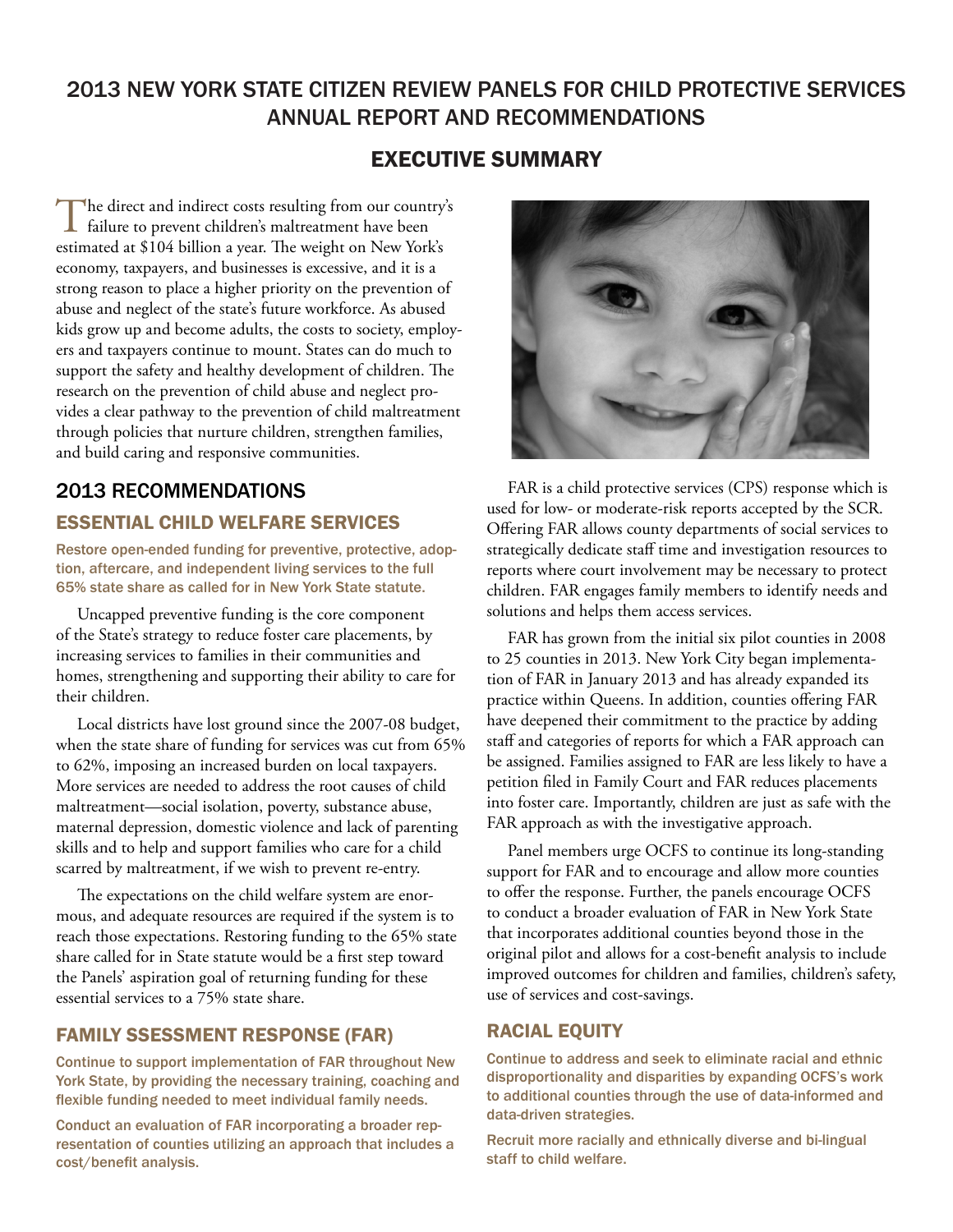# 2013 NEW YORK STATE CITIZEN REVIEW PANELS FOR CHILD PROTECTIVE SERVICES ANNUAL REPORT AND RECOMMENDATIONS

## EXECUTIVE SUMMARY

The direct and indirect costs resulting from our country's<br>
failure to prevent children's maltreatment have been<br>
The March March of Library and the March of Library and the March of Library and the March of Library and th estimated at \$104 billion a year. The weight on New York's economy, taxpayers, and businesses is excessive, and it is a strong reason to place a higher priority on the prevention of abuse and neglect of the state's future workforce. As abused kids grow up and become adults, the costs to society, employers and taxpayers continue to mount. States can do much to support the safety and healthy development of children. The research on the prevention of child abuse and neglect provides a clear pathway to the prevention of child maltreatment through policies that nurture children, strengthen families, and build caring and responsive communities.

## 2013 RECOMMENDATIONS

### ESSENTIAL CHILD WELFARE SERVICES

Restore open-ended funding for preventive, protective, adoption, aftercare, and independent living services to the full 65% state share as called for in New York State statute.

Uncapped preventive funding is the core component of the State's strategy to reduce foster care placements, by increasing services to families in their communities and homes, strengthening and supporting their ability to care for their children.

Local districts have lost ground since the 2007-08 budget, when the state share of funding for services was cut from 65% to 62%, imposing an increased burden on local taxpayers. More services are needed to address the root causes of child maltreatment—social isolation, poverty, substance abuse, maternal depression, domestic violence and lack of parenting skills and to help and support families who care for a child scarred by maltreatment, if we wish to prevent re-entry.

The expectations on the child welfare system are enormous, and adequate resources are required if the system is to reach those expectations. Restoring funding to the 65% state share called for in State statute would be a first step toward the Panels' aspiration goal of returning funding for these essential services to a 75% state share.

### FAMILY SSESSMENT RESPONSE (FAR)

Continue to support implementation of FAR throughout New York State, by providing the necessary training, coaching and flexible funding needed to meet individual family needs.

Conduct an evaluation of FAR incorporating a broader representation of counties utilizing an approach that includes a cost/benefit analysis.



FAR is a child protective services (CPS) response which is used for low- or moderate-risk reports accepted by the SCR. Offering FAR allows county departments of social services to strategically dedicate staff time and investigation resources to reports where court involvement may be necessary to protect children. FAR engages family members to identify needs and solutions and helps them access services.

FAR has grown from the initial six pilot counties in 2008 to 25 counties in 2013. New York City began implementation of FAR in January 2013 and has already expanded its practice within Queens. In addition, counties offering FAR have deepened their commitment to the practice by adding staff and categories of reports for which a FAR approach can be assigned. Families assigned to FAR are less likely to have a petition filed in Family Court and FAR reduces placements into foster care. Importantly, children are just as safe with the FAR approach as with the investigative approach.

Panel members urge OCFS to continue its long-standing support for FAR and to encourage and allow more counties to offer the response. Further, the panels encourage OCFS to conduct a broader evaluation of FAR in New York State that incorporates additional counties beyond those in the original pilot and allows for a cost-benefit analysis to include improved outcomes for children and families, children's safety, use of services and cost-savings.

### RACIAL EQUITY

Continue to address and seek to eliminate racial and ethnic disproportionality and disparities by expanding OCFS's work to additional counties through the use of data-informed and data-driven strategies.

Recruit more racially and ethnically diverse and bi-lingual staff to child welfare.